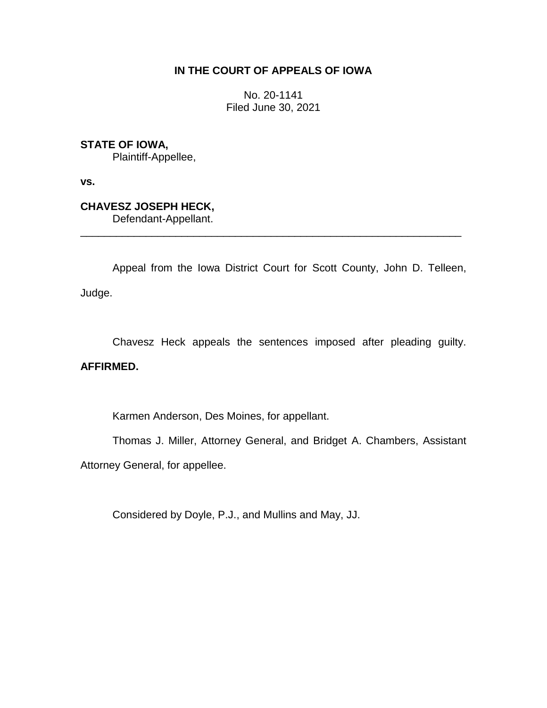## **IN THE COURT OF APPEALS OF IOWA**

No. 20-1141 Filed June 30, 2021

**STATE OF IOWA,**

Plaintiff-Appellee,

**vs.**

**CHAVESZ JOSEPH HECK,**

Defendant-Appellant.

Appeal from the Iowa District Court for Scott County, John D. Telleen, Judge.

\_\_\_\_\_\_\_\_\_\_\_\_\_\_\_\_\_\_\_\_\_\_\_\_\_\_\_\_\_\_\_\_\_\_\_\_\_\_\_\_\_\_\_\_\_\_\_\_\_\_\_\_\_\_\_\_\_\_\_\_\_\_\_\_

Chavesz Heck appeals the sentences imposed after pleading guilty.

## **AFFIRMED.**

Karmen Anderson, Des Moines, for appellant.

Thomas J. Miller, Attorney General, and Bridget A. Chambers, Assistant Attorney General, for appellee.

Considered by Doyle, P.J., and Mullins and May, JJ.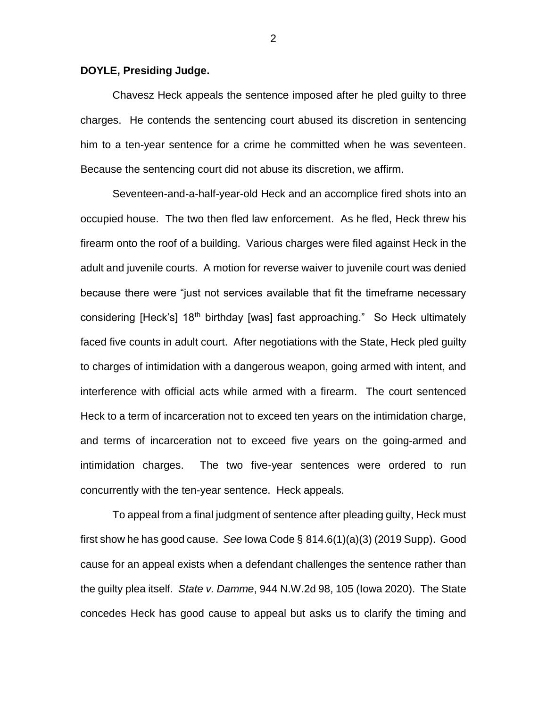## **DOYLE, Presiding Judge.**

Chavesz Heck appeals the sentence imposed after he pled guilty to three charges. He contends the sentencing court abused its discretion in sentencing him to a ten-year sentence for a crime he committed when he was seventeen. Because the sentencing court did not abuse its discretion, we affirm.

Seventeen-and-a-half-year-old Heck and an accomplice fired shots into an occupied house. The two then fled law enforcement. As he fled, Heck threw his firearm onto the roof of a building. Various charges were filed against Heck in the adult and juvenile courts. A motion for reverse waiver to juvenile court was denied because there were "just not services available that fit the timeframe necessary considering [Heck's] 18<sup>th</sup> birthday [was] fast approaching." So Heck ultimately faced five counts in adult court. After negotiations with the State, Heck pled guilty to charges of intimidation with a dangerous weapon, going armed with intent, and interference with official acts while armed with a firearm. The court sentenced Heck to a term of incarceration not to exceed ten years on the intimidation charge, and terms of incarceration not to exceed five years on the going-armed and intimidation charges. The two five-year sentences were ordered to run concurrently with the ten-year sentence. Heck appeals.

To appeal from a final judgment of sentence after pleading guilty, Heck must first show he has good cause. *See* Iowa Code § 814.6(1)(a)(3) (2019 Supp). Good cause for an appeal exists when a defendant challenges the sentence rather than the guilty plea itself. *State v. Damme*, 944 N.W.2d 98, 105 (Iowa 2020). The State concedes Heck has good cause to appeal but asks us to clarify the timing and

2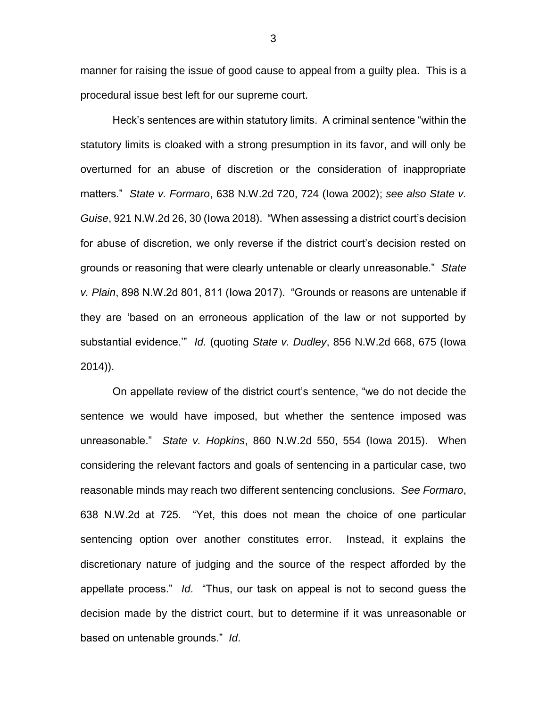manner for raising the issue of good cause to appeal from a guilty plea. This is a procedural issue best left for our supreme court.

Heck's sentences are within statutory limits. A criminal sentence "within the statutory limits is cloaked with a strong presumption in its favor, and will only be overturned for an abuse of discretion or the consideration of inappropriate matters." *State v. Formaro*, 638 N.W.2d 720, 724 (Iowa 2002); *see also State v. Guise*, 921 N.W.2d 26, 30 (Iowa 2018). "When assessing a district court's decision for abuse of discretion, we only reverse if the district court's decision rested on grounds or reasoning that were clearly untenable or clearly unreasonable." *State v. Plain*, 898 N.W.2d 801, 811 (Iowa 2017). "Grounds or reasons are untenable if they are 'based on an erroneous application of the law or not supported by substantial evidence.'" *Id.* (quoting *State v. Dudley*, 856 N.W.2d 668, 675 (Iowa 2014)).

On appellate review of the district court's sentence, "we do not decide the sentence we would have imposed, but whether the sentence imposed was unreasonable." *State v. Hopkins*, 860 N.W.2d 550, 554 (Iowa 2015). When considering the relevant factors and goals of sentencing in a particular case, two reasonable minds may reach two different sentencing conclusions. *See Formaro*, 638 N.W.2d at 725. "Yet, this does not mean the choice of one particular sentencing option over another constitutes error. Instead, it explains the discretionary nature of judging and the source of the respect afforded by the appellate process." *Id*. "Thus, our task on appeal is not to second guess the decision made by the district court, but to determine if it was unreasonable or based on untenable grounds." *Id*.

3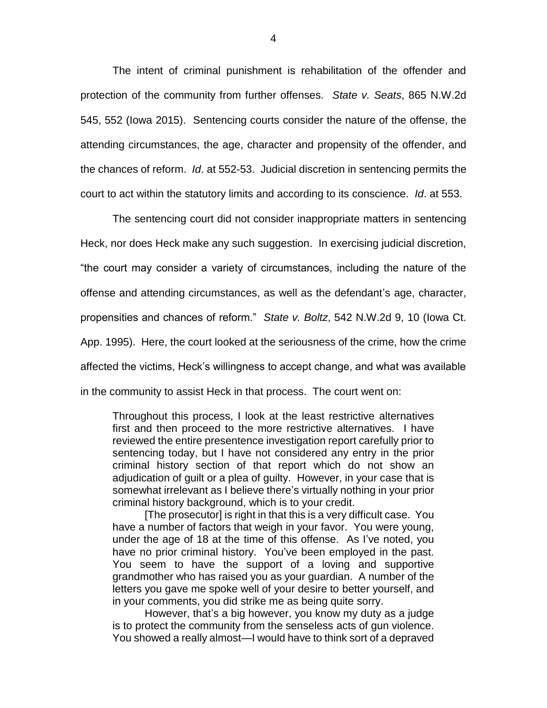The intent of criminal punishment is rehabilitation of the offender and protection of the community from further offenses. *State v. Seats*, 865 N.W.2d 545, 552 (Iowa 2015). Sentencing courts consider the nature of the offense, the attending circumstances, the age, character and propensity of the offender, and the chances of reform. *Id*. at 552-53. Judicial discretion in sentencing permits the court to act within the statutory limits and according to its conscience. *Id*. at 553.

The sentencing court did not consider inappropriate matters in sentencing Heck, nor does Heck make any such suggestion. In exercising judicial discretion, "the court may consider a variety of circumstances, including the nature of the offense and attending circumstances, as well as the defendant's age, character, propensities and chances of reform." *State v. Boltz*, 542 N.W.2d 9, 10 (Iowa Ct. App. 1995). Here, the court looked at the seriousness of the crime, how the crime affected the victims, Heck's willingness to accept change, and what was available in the community to assist Heck in that process. The court went on:

Throughout this process, I look at the least restrictive alternatives first and then proceed to the more restrictive alternatives. I have reviewed the entire presentence investigation report carefully prior to sentencing today, but I have not considered any entry in the prior criminal history section of that report which do not show an adjudication of guilt or a plea of guilty. However, in your case that is somewhat irrelevant as I believe there's virtually nothing in your prior criminal history background, which is to your credit.

[The prosecutor] is right in that this is a very difficult case. You have a number of factors that weigh in your favor. You were young, under the age of 18 at the time of this offense. As I've noted, you have no prior criminal history. You've been employed in the past. You seem to have the support of a loving and supportive grandmother who has raised you as your guardian. A number of the letters you gave me spoke well of your desire to better yourself, and in your comments, you did strike me as being quite sorry.

However, that's a big however, you know my duty as a judge is to protect the community from the senseless acts of gun violence. You showed a really almost—I would have to think sort of a depraved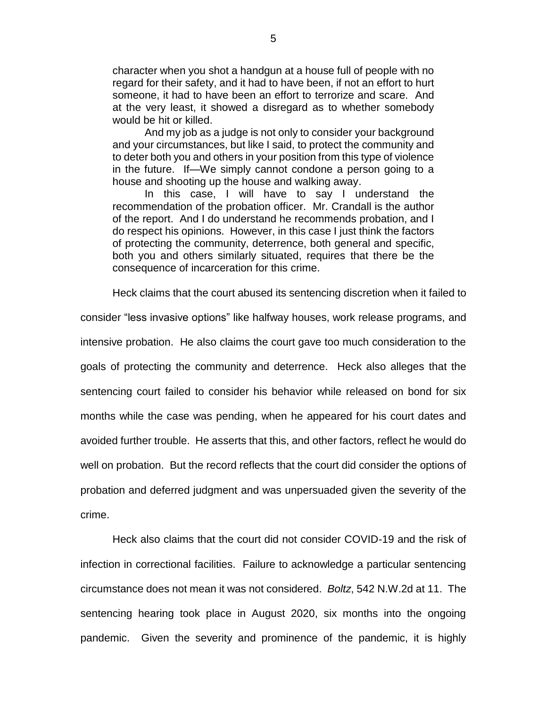character when you shot a handgun at a house full of people with no regard for their safety, and it had to have been, if not an effort to hurt someone, it had to have been an effort to terrorize and scare. And at the very least, it showed a disregard as to whether somebody would be hit or killed.

And my job as a judge is not only to consider your background and your circumstances, but like I said, to protect the community and to deter both you and others in your position from this type of violence in the future. If—We simply cannot condone a person going to a house and shooting up the house and walking away.

In this case, I will have to say I understand the recommendation of the probation officer. Mr. Crandall is the author of the report. And I do understand he recommends probation, and I do respect his opinions. However, in this case I just think the factors of protecting the community, deterrence, both general and specific, both you and others similarly situated, requires that there be the consequence of incarceration for this crime.

Heck claims that the court abused its sentencing discretion when it failed to

consider "less invasive options" like halfway houses, work release programs, and intensive probation. He also claims the court gave too much consideration to the goals of protecting the community and deterrence. Heck also alleges that the sentencing court failed to consider his behavior while released on bond for six months while the case was pending, when he appeared for his court dates and avoided further trouble. He asserts that this, and other factors, reflect he would do well on probation. But the record reflects that the court did consider the options of probation and deferred judgment and was unpersuaded given the severity of the crime.

Heck also claims that the court did not consider COVID-19 and the risk of infection in correctional facilities. Failure to acknowledge a particular sentencing circumstance does not mean it was not considered. *Boltz*, 542 N.W.2d at 11. The sentencing hearing took place in August 2020, six months into the ongoing pandemic. Given the severity and prominence of the pandemic, it is highly